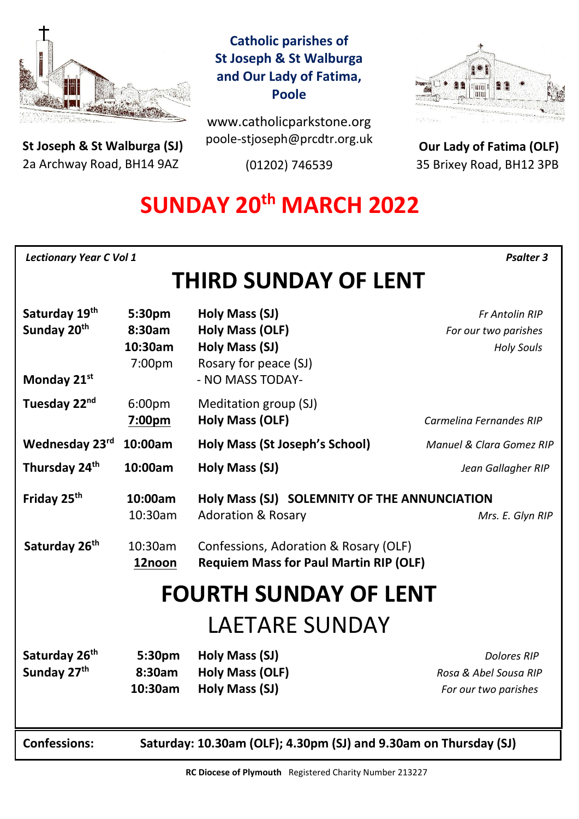

**St Joseph & St Walburga (SJ)** 2a Archway Road, BH14 9AZ 

## **Catholic parishes of St Joseph & St Walburga and Our Lady of Fatima, Poole**

www.catholicparkstone.org poole-stjoseph@prcdtr.org.uk

(01202) 746539



**Our Lady of Fatima (OLF)** 35 Brixey Road, BH12 3PB

# **SUNDAY 20th MARCH 2022**

| <b>Lectionary Year C Vol 1</b> | <b>Psalter 3</b> |
|--------------------------------|------------------|
|--------------------------------|------------------|

# **THIRD SUNDAY OF LENT**

| Saturday 19th<br>Sunday 20th<br>Monday 21st          | 5:30pm<br>8:30am<br>10:30am<br>7:00pm                            | Holy Mass (SJ)<br><b>Holy Mass (OLF)</b><br>Holy Mass (SJ)<br>Rosary for peace (SJ)<br>- NO MASS TODAY- | <b>Fr Antolin RIP</b><br>For our two parishes<br><b>Holy Souls</b>  |  |
|------------------------------------------------------|------------------------------------------------------------------|---------------------------------------------------------------------------------------------------------|---------------------------------------------------------------------|--|
| Tuesday 22 <sup>nd</sup>                             | 6:00pm<br>7:00pm                                                 | Meditation group (SJ)<br><b>Holy Mass (OLF)</b>                                                         | Carmelina Fernandes RIP                                             |  |
| Wednesday 23rd                                       | 10:00am                                                          | <b>Holy Mass (St Joseph's School)</b>                                                                   | Manuel & Clara Gomez RIP                                            |  |
| Thursday 24 <sup>th</sup>                            | 10:00am                                                          | Holy Mass (SJ)                                                                                          | Jean Gallagher RIP                                                  |  |
| Friday 25 <sup>th</sup>                              | 10:00am<br>10:30am                                               | Holy Mass (SJ) SOLEMNITY OF THE ANNUNCIATION<br><b>Adoration &amp; Rosary</b>                           | Mrs. E. Glyn RIP                                                    |  |
| Saturday 26th                                        | 10:30am<br>12noon                                                | Confessions, Adoration & Rosary (OLF)<br><b>Requiem Mass for Paul Martin RIP (OLF)</b>                  |                                                                     |  |
| <b>FOURTH SUNDAY OF LENT</b>                         |                                                                  |                                                                                                         |                                                                     |  |
| LAETARE SUNDAY                                       |                                                                  |                                                                                                         |                                                                     |  |
| Saturday 26 <sup>th</sup><br>Sunday 27 <sup>th</sup> | 5:30pm<br>8:30am<br>10:30am                                      | Holy Mass (SJ)<br>Holy Mass (OLF)<br>Holy Mass (SJ)                                                     | <b>Dolores RIP</b><br>Rosa & Abel Sousa RIP<br>For our two parishes |  |
| <b>Confessions:</b>                                  | Saturday: 10.30am (OLF); 4.30pm (SJ) and 9.30am on Thursday (SJ) |                                                                                                         |                                                                     |  |